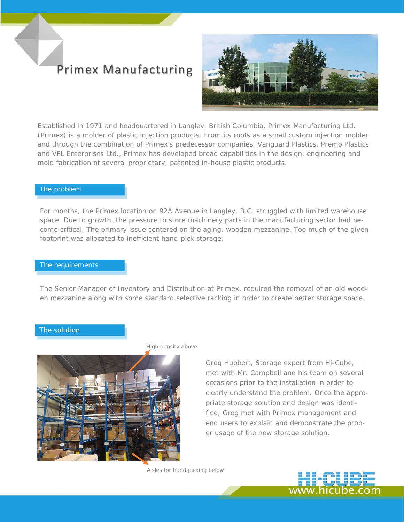# Primex Manufacturing



Established in 1971 and headquartered in Langley, British Columbia, Primex Manufacturing Ltd. (Primex) is a molder of plastic injection products. From its roots as a small custom injection molder and through the combination of Primex's predecessor companies, Vanguard Plastics, Premo Plastics and VPL Enterprises Ltd., Primex has developed broad capabilities in the design, engineering and mold fabrication of several proprietary, patented in-house plastic products.

### The problem

For months, the Primex location on 92A Avenue in Langley, B.C. struggled with limited warehouse space. Due to growth, the pressure to store machinery parts in the manufacturing sector had become critical. The primary issue centered on the aging, wooden mezzanine. Too much of the given footprint was allocated to inefficient hand-pick storage.

### The requirements

The Senior Manager of Inventory and Distribution at Primex, required the removal of an old wooden mezzanine along with some standard selective racking in order to create better storage space.

#### The solution



*High density above* 

Greg Hubbert, Storage expert from Hi-Cube, met with Mr. Campbell and his team on several occasions prior to the installation in order to clearly understand the problem. Once the appropriate storage solution and design was identified, Greg met with Primex management and end users to explain and demonstrate the proper usage of the new storage solution.

*Aisles for hand picking below*